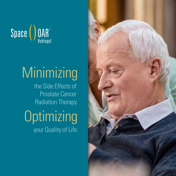

# **Minimizing**

the Side Effects of Prostate Cancer Radiation Therapy.

**Optimizing** your Quality of Life.

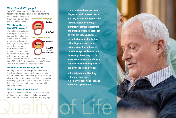#### **What is SpaceOAR® hydrogel?**

SpaceOAR hydrogel is an absorbable hydrogel that temporarily creates space between the prostate and the

rectum, protecting the rectum from radiation exposure during prostate radiation therapy.

#### **Why should I have SpaceOAR hydrogel?**

The goal of radiation therapy to treat prostate cancer is to maximize the radiation dose to the prostate to kill the cancer cells while avoiding radiating surrounding normal tissue. Rectal injury can occur because the rectum sits next to the prostate and can accidentally receive high radiation doses and damage



to healthy tissue can cause side effects. The "OAR" in SpaceOAR stands for "Organ At Risk", and with Radiation Therapy to the prostate, this organ is the rectum.

#### **How will SpaceOAR hydrogel help me?**

By acting as a spacer, the hydrogel pushes the rectum a  $\frac{1}{2}$  inch away from the prostate so damage to the rectum is reduced or even eliminated. With SpaceOAR hydrogel in place, your doctor can enhance your radiation treatment to better target your cancer while preserving healthy tissue to help ensure that your rectal, urinary and sexual quality of life will be maintained.

#### **What is it made of and is it safe?**

Water. Because of the water content it is called a hydrogel. SpaceOAR hydrogel is made up of two liquids that when combined form a soft gel material that is mostly made of water. Because of the water content it is called a hydrogel.

**If you or a loved one has been diagnosed with prostate cancer, you may be considering radiation therapy. Radiation therapy is extremely effective in targeting and treating prostate cancer but as with any procedure, there are potential side effects. One of the biggest risks is injury to the rectum. Side effects of rectal damage can be mild, but for some patients they last for years and can have a profoundly negative impact on the patient's quality of life. They include:**

- **Rectal pain and bleeding**
- **Chronic diarrhea**
- **Urinary urgency and leakage**
- **Erectile dysfunction**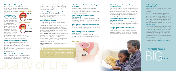#### **Has SpaceOAR hydrogel been clinically tested?**

SpaceOAR hydrogel has been evaluated in many clinical studies and shown to be safe and effective in reducing side effects.

In the U.S., 222 prostate cancer patients participated in a multi-center, randomized, patient-blinded clinical study. Study results showed that the hydrogel was safe and effective. The average SpaceOAR hydrogel study patient gained ½ inch of space between the prostate and rectum, and had significant reduction in radiation dose to the rectum resulting in significantly fewer rectal side effects.

#### **Follow-up Study**

Three years after treatment, patients from the study were asked to report on their Quality of Life for bowel, urinary and sexual functions. These patient-reported outcomes showed that SpaceOAR hydrogel patients experienced significantly fewer long-term rectal side effects, were more likely to maintain sexual function, and had significantly higher patient reported scores for urinary and bowel Quality of Life.

To read the peer-reviewed clinical studies and other publications, please go to **spaceoar.com/clinicals**

#### **What is SpaceOAR® hydrogel?**

SpaceOAR hydrogel is an absorbable hydrogel that temporarily creates space between the prostate and the

Water. Because of the water content it is called a hydrogel. SpaceOAR hydrogel is made up of two liquids that when combined form a soft gel material that is mostly made of water. Because of the water content it is called a hydrogel.

rectum, protecting the rectum prostate radiation therapy.

It can be safely used in the body without causing injury or a reaction. The material that the SpaceOAR hydrogel is made from has been used in other implants such as surgical sealants used in the eye, brain and spine.

#### **Why should I have SpaceOAR hydrogel?**

The goal of radiation therapy to treat prostate cancer is to maximize the radiation dose to the prostate to kill the cancer cells while avoiding radiating surrounding normal tissue. Rectal injury can occur because the rectum sits next to the prostate and can accidentally receive high radiation doses and damage

**External radiation** (or external beam radiation - EBRT) uses a machine that directs high-energy rays (or photons) from outside of the body into the tumor. Most patients get external radiation therapy over many weeks, during outpatient visits to a hospital or treatment center.

to healthy tissue can cause side effects. The "OAR" in SpaceOAR stands for "Organ At Risk", and with Radiation Therapy to the prostate, this organ is the rectum.

**Internal radiation**, also called brachytherapy, involves putting a radioactive source inside the body into or near the tumor. **Stereotactic body radiation therapy** (SBRT) uses advanced imaging techniques to deliver extremely precise, very intense doses of radiation to the prostate (usually in up to five treatments over a period of days).

**Proton Beam therapy** uses proton particles in lieu of x-rays or photons.

#### **How will SpaceOAR hydrogel help me?**

By acting as a spacer, the hydrogel pushes the rectum a ½ inch away from the prostate so damage to the rectum is reduced or even eliminated. With SpaceOAR hydrogel in place, your doctor can enhance your radiation treatment to better target your cancer while preserving healthy tissue to help ensure that your rectal, urinary and sexual quality of life will be maintained.

#### **What is it made of and is it safe?**

#### **Has SpaceOAR hydrogel been approved?**

SpaceOAR hydrogel has FDA clearance in the US and is approved for use in Canada, Europe, Japan, Australia and other countries around the world.

#### **In what type of radiation treatment can SpaceOAR hydrogel be used?**

SpaceOAR hydrogel can be used in all types of radiation therapy. Here are the four most common types.



#### **Where is the procedure done and how long does it take?**

SpaceOAR hydrogel can be implanted as an outpatient procedure in a hospital, surgery center, outpatient clinic or doctor's office prior to the start of radiation treatment, and is typically not a lengthy procedure.

#### **How is SpaceOAR hydrogel implanted (put into place)?**

The SpaceOAR hydrogel is injected as liquid through a small needle between the rectum and the prostate. Your doctor will use ultrasound imaging to ensure correct placement.

#### **Will I be awake or asleep during the procedure?**

SpaceOAR hydrogel can be implanted under local, regional or general anesthesia. You should discuss with your doctor which type of anesthesia will work best for you.

#### **What do I need to do to get ready before the procedure?**

Your doctor will give you instructions on how to prepare for the procedure and information about any anesthesia you will receive.

#### **Will I feel any discomfort or pain during or after the procedure?**

Your doctor will use a local, regional or general anesthesia and the injection site will be numbed, so you may feel a pinprick or pressure but should not feel any discomfort. Following the implantation, you may experience some temporary discomfort at the injection site. SpaceOAR hydrogel patients typically report no prolonged discomfort from the implanted gel.

#### **How soon after the procedure can I return to my normal activities?**

You should be able to go back to your normal activities right away. Check with your doctor about anything you should avoid after the procedure and during your radiation treatments.

#### **How long will SpaceOAR hydrogel remain in my body?**

SpaceOAR hydrogel stays in place, separating your prostate and rectum, for about 3 months. After 6 months, the hydrogel is naturally absorbed into the body and removed in your urine.

*" During my eight weeks of radiation treatment and it's now rectal side effects, no pain or discomfort, no bleeding, no incontinence - so very glad I decided to have SpaceOAR".*

**Larry, a SpaceOAR hydrogel patient**

## **SpaceOAR hydrogel Prostate Bladder**

#### **SpaceOAR hydrogel**



### *A little space makes a*